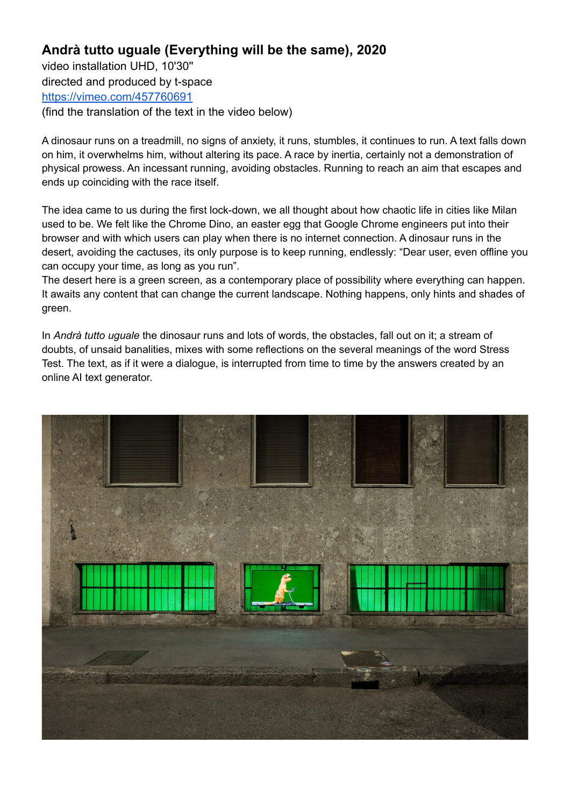## **Andrà tutto uguale (Everything will be the same), 2020**

video installation UHD, 10'30'' directed and produced by t-space <https://vimeo.com/457760691> (find the translation of the text in the video below)

A dinosaur runs on a treadmill, no signs of anxiety, it runs, stumbles, it continues to run. A text falls down on him, it overwhelms him, without altering its pace. A race by inertia, certainly not a demonstration of physical prowess. An incessant running, avoiding obstacles. Running to reach an aim that escapes and ends up coinciding with the race itself.

The idea came to us during the first lock-down, we all thought about how chaotic life in cities like Milan used to be. We felt like the Chrome Dino, an easter egg that Google Chrome engineers put into their browser and with which users can play when there is no internet connection. A dinosaur runs in the desert, avoiding the cactuses, its only purpose is to keep running, endlessly: "Dear user, even offline you can occupy your time, as long as you run".

The desert here is a green screen, as a contemporary place of possibility where everything can happen. It awaits any content that can change the current landscape. Nothing happens, only hints and shades of green.

In *Andrà tutto uguale* the dinosaur runs and lots of words, the obstacles, fall out on it; a stream of doubts, of unsaid banalities, mixes with some reflections on the several meanings of the word Stress Test. The text, as if it were a dialogue, is interrupted from time to time by the answers created by an online AI text generator.